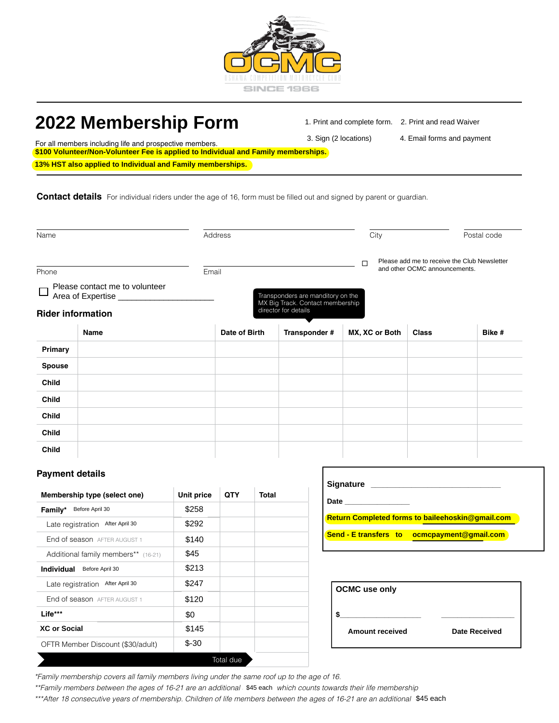

# **Membership form 2022 Membership Form**

1. Print and complete form. 2. Print and read Waiver

 $\mathbf{a}$  is formed and payment

For all members including life and prospective members. 3. Sign (2 locations) 3. Sign (2 locations) **4. Email forms and payment \$100 Volunteer/Non-Volunteer Fee is applied to Individual and Family memberships.**

|                                     | <b>Contact details</b> For individual riders under the age of 16, form must be filled out and signed by parent or guardian. |                   |               |              |                                                                       |                                                  |                               |                                              |
|-------------------------------------|-----------------------------------------------------------------------------------------------------------------------------|-------------------|---------------|--------------|-----------------------------------------------------------------------|--------------------------------------------------|-------------------------------|----------------------------------------------|
| Name                                |                                                                                                                             | Address           |               |              | City                                                                  |                                                  | Postal code                   |                                              |
|                                     |                                                                                                                             |                   |               |              |                                                                       | □                                                |                               | Please add me to receive the Club Newsletter |
| Phone                               |                                                                                                                             | Email             |               |              |                                                                       |                                                  | and other OCMC announcements. |                                              |
|                                     | Please contact me to volunteer<br>Area of Expertise                                                                         |                   |               |              | Transponders are manditory on the<br>MX Big Track. Contact membership |                                                  |                               |                                              |
|                                     | <b>Rider information</b>                                                                                                    |                   |               |              | director for details                                                  |                                                  |                               |                                              |
|                                     | Name                                                                                                                        |                   | Date of Birth |              | Transponder #                                                         | MX, XC or Both                                   | <b>Class</b>                  | Bike #                                       |
| Primary                             |                                                                                                                             |                   |               |              |                                                                       |                                                  |                               |                                              |
| <b>Spouse</b>                       |                                                                                                                             |                   |               |              |                                                                       |                                                  |                               |                                              |
| <b>Child</b>                        |                                                                                                                             |                   |               |              |                                                                       |                                                  |                               |                                              |
| <b>Child</b>                        |                                                                                                                             |                   |               |              |                                                                       |                                                  |                               |                                              |
| <b>Child</b>                        |                                                                                                                             |                   |               |              |                                                                       |                                                  |                               |                                              |
| <b>Child</b>                        |                                                                                                                             |                   |               |              |                                                                       |                                                  |                               |                                              |
| <b>Child</b>                        |                                                                                                                             |                   |               |              |                                                                       |                                                  |                               |                                              |
| <b>Payment details</b>              |                                                                                                                             |                   |               |              |                                                                       |                                                  |                               |                                              |
|                                     | Membership type (select one)                                                                                                | <b>Unit price</b> | QTY           | <b>Total</b> |                                                                       | <b>Date Date</b>                                 |                               |                                              |
| Family* Before April 30             | Late registration After April 30                                                                                            | \$258<br>\$292    |               |              |                                                                       | Return Completed forms to baileehoskin@gmail.com |                               |                                              |
|                                     | End of season AFTER AUGUST 1                                                                                                | \$140             |               |              |                                                                       | Send - E transfers to ocmcpayment@gmail.com      |                               |                                              |
| Additional family members** (16-21) |                                                                                                                             | \$45              |               |              |                                                                       |                                                  |                               |                                              |
| <b>Individual</b> Before April 30   |                                                                                                                             | \$213             |               |              |                                                                       |                                                  |                               |                                              |
|                                     | Late registration After April 30                                                                                            | \$247             |               |              |                                                                       | <b>OCMC</b> use only                             |                               |                                              |
| End of season AFTER AUGUST 1        |                                                                                                                             | \$120             |               |              |                                                                       |                                                  |                               |                                              |
| Life***                             |                                                                                                                             | \$0               |               |              | \$                                                                    |                                                  |                               |                                              |
| <b>XC or Social</b><br>\$145        |                                                                                                                             |                   |               |              | <b>Amount received</b>                                                |                                                  | <b>Date Received</b>          |                                              |
|                                     | OFTR Member Discount (\$30/adult)                                                                                           | $$ -30$           |               |              |                                                                       |                                                  |                               |                                              |
|                                     |                                                                                                                             |                   | Total due     |              |                                                                       |                                                  |                               |                                              |

# **Payment details**

| Membership type (select one)         | Unit price | QTY       | Total |
|--------------------------------------|------------|-----------|-------|
| Before April 30<br>Family*           | \$258      |           |       |
| After April 30<br>Late registration  | \$292      |           |       |
| End of season AFTER AUGUST 1         | \$140      |           |       |
| Additional family members** (16-21)  | \$45       |           |       |
| <b>Individual</b><br>Before April 30 | \$213      |           |       |
| After April 30<br>Late registration  | \$247      |           |       |
| End of season AFTER AUGUST 1         | \$120      |           |       |
| Life***                              | \$0        |           |       |
| <b>XC or Social</b>                  | \$145      |           |       |
| OFTR Member Discount (\$30/adult)    | $$ -30$    |           |       |
|                                      |            | Total due |       |

| <b>Signature</b>                                        |  |  |  |  |  |
|---------------------------------------------------------|--|--|--|--|--|
| Date                                                    |  |  |  |  |  |
| <b>Return Completed forms to baileehoskin@gmail.com</b> |  |  |  |  |  |
| <b>Send - E transfers to ocmcpayment@gmail.com</b>      |  |  |  |  |  |
|                                                         |  |  |  |  |  |

| <b>OCMC</b> use only   |                      |
|------------------------|----------------------|
|                        |                      |
| <b>Amount received</b> | <b>Date Received</b> |
|                        |                      |

\*\*\*After 18 consecutive years of membership. Children of life members between the ages of 16-21 are an additional \$45 each.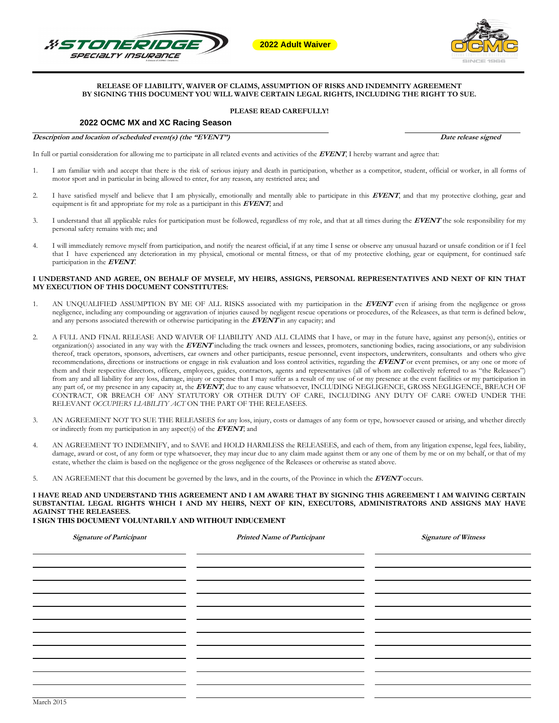



# **RELEASE OF LIABILITY, WAIVER OF CLAIMS, ASSUMPTION OF RISKS AND INDEMNITY AGREEMENT BY SIGNING THIS DOCUMENT YOU WILL WAIVE CERTAIN LEGAL RIGHTS, INCLUDING THE RIGHT TO SUE. 2022 Adult Waiver<br>
PECIALTY INSURANCE**<br>
BY SIGNING THIS DOCUMENT YOU WILL WAIVE CERTAIN LEGAL RI<br>
2022 OCMC MX and XC Racing Season<br>
PLEASE READ CAREFULLY!

#### **PLEASE READ CAREFULLY!**

**Description and location of scheduled event(s) (the "EVENT") Date release signed D Date release signed** 

In full or partial consideration for allowing me to participate in all related events and activities of the **EVENT**, I hereby warrant and agree that:

- 1. I am familiar with and accept that there is the risk of serious injury and death in participation, whether as a competitor, student, official or worker, in all forms of motor sport and in particular in being allowed to enter, for any reason, any restricted area; and
- 2. I have satisfied myself and believe that I am physically, emotionally and mentally able to participate in this **EVENT**, and that my protective clothing, gear and equipment is fit and appropriate for my role as a participant in this **EVENT**; and
- 3. I understand that all applicable rules for participation must be followed, regardless of my role, and that at all times during the **EVENT** the sole responsibility for my personal safety remains with me; and
- 4. I will immediately remove myself from participation, and notify the nearest official, if at any time I sense or observe any unusual hazard or unsafe condition or if I feel that I have experienced any deterioration in my physical, emotional or mental fitness, or that of my protective clothing, gear or equipment, for continued safe participation in the **EVENT**.

#### **I UNDERSTAND AND AGREE, ON BEHALF OF MYSELF, MY HEIRS, ASSIGNS, PERSONAL REPRESENTATIVES AND NEXT OF KIN THAT MY EXECUTION OF THIS DOCUMENT CONSTITUTES:**

- 1. AN UNQUALIFIED ASSUMPTION BY ME OF ALL RISKS associated with my participation in the **EVENT** even if arising from the negligence or gross negligence, including any compounding or aggravation of injuries caused by negligent rescue operations or procedures, of the Releasees, as that term is defined below, and any persons associated therewith or otherwise participating in the **EVENT** in any capacity; and
- 2. A FULL AND FINAL RELEASE AND WAIVER OF LIABILITY AND ALL CLAIMS that I have, or may in the future have, against any person(s), entities or organization(s) associated in any way with the **EVENT** including the track owners and lessees, promoters, sanctioning bodies, racing associations, or any subdivision thereof, track operators, sponsors, advertisers, car owners and other participants, rescue personnel, event inspectors, underwriters, consultants and others who give recommendations, directions or instructions or engage in risk evaluation and loss control activities, regarding the **EVENT** or event premises, or any one or more of them and their respective directors, officers, employees, guides, contractors, agents and representatives (all of whom are collectively referred to as "the Releasees") from any and all liability for any loss, damage, injury or expense that I may suffer as a result of my use of or my presence at the event facilities or my participation in any part of, or my presence in any capacity at, the **EVENT**, due to any cause whatsoever, INCLUDING NEGLIGENCE, GROSS NEGLIGENCE, BREACH OF CONTRACT, OR BREACH OF ANY STATUTORY OR OTHER DUTY OF CARE, INCLUDING ANY DUTY OF CARE OWED UNDER THE RELEVANT *OCCUPIERS LIABILITY ACT* ON THE PART OF THE RELEASEES.
- 3. AN AGREEMENT NOT TO SUE THE RELEASEES for any loss, injury, costs or damages of any form or type, howsoever caused or arising, and whether directly or indirectly from my participation in any aspect(s) of the **EVENT**; and
- 4. AN AGREEMENT TO INDEMNIFY, and to SAVE and HOLD HARMLESS the RELEASEES, and each of them, from any litigation expense, legal fees, liability, damage, award or cost, of any form or type whatsoever, they may incur due to any claim made against them or any one of them by me or on my behalf, or that of my estate, whether the claim is based on the negligence or the gross negligence of the Releasees or otherwise as stated above.
- 5. AN AGREEMENT that this document be governed by the laws, and in the courts, of the Province in which the **EVENT** occurs.

**I HAVE READ AND UNDERSTAND THIS AGREEMENT AND I AM AWARE THAT BY SIGNING THIS AGREEMENT I AM WAIVING CERTAIN SUBSTANTIAL LEGAL RIGHTS WHICH I AND MY HEIRS, NEXT OF KIN, EXECUTORS, ADMINISTRATORS AND ASSIGNS MAY HAVE AGAINST THE RELEASEES.** 

# **I SIGN THIS DOCUMENT VOLUNTARILY AND WITHOUT INDUCEMENT**

| <b>Signature of Participant</b> | <b>Printed Name of Participant</b> | <b>Signature of Witness</b> |
|---------------------------------|------------------------------------|-----------------------------|
|                                 |                                    |                             |
|                                 |                                    |                             |
|                                 |                                    |                             |
|                                 |                                    |                             |
|                                 |                                    |                             |
|                                 |                                    |                             |
|                                 |                                    |                             |
|                                 |                                    |                             |
|                                 |                                    |                             |
|                                 |                                    |                             |
|                                 |                                    |                             |
|                                 |                                    |                             |
|                                 |                                    |                             |
|                                 |                                    |                             |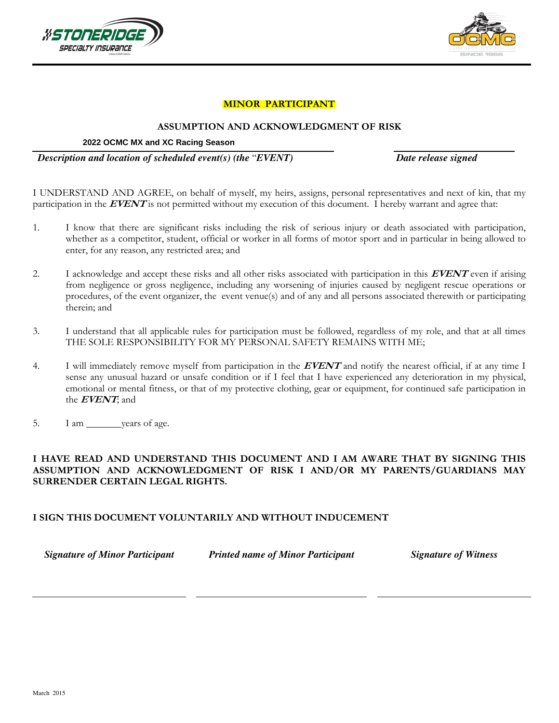



# **MINOR PARTICIPANT**

# **ASSUMPTION AND ACKNOWLEDGMENT OF RISK**

## **2022 OCMC MX and XC Racing Season**

 *Description and location of scheduled event(s) (the* "*EVENT) Date release signed*

I UNDERSTAND AND AGREE, on behalf of myself, my heirs, assigns, personal representatives and next of kin, that my participation in the **EVENT** is not permitted without my execution of this document. I hereby warrant and agree that:

- 1. I know that there are significant risks including the risk of serious injury or death associated with participation, whether as a competitor, student, official or worker in all forms of motor sport and in particular in being allowed to enter, for any reason, any restricted area; and
- 2. I acknowledge and accept these risks and all other risks associated with participation in this **EVENT** even if arising from negligence or gross negligence, including any worsening of injuries caused by negligent rescue operations or procedures, of the event organizer, the event venue(s) and of any and all persons associated therewith or participating therein; and
- 3. I understand that all applicable rules for participation must be followed, regardless of my role, and that at all times THE SOLE RESPONSIBILITY FOR MY PERSONAL SAFETY REMAINS WITH ME;
- 4. I will immediately remove myself from participation in the **EVENT** and notify the nearest official, if at any time I sense any unusual hazard or unsafe condition or if I feel that I have experienced any deterioration in my physical, emotional or mental fitness, or that of my protective clothing, gear or equipment, for continued safe participation in the **EVENT**; and
- 5. I am years of age.

# **I HAVE READ AND UNDERSTAND THIS DOCUMENT AND I AM AWARE THAT BY SIGNING THIS ASSUMPTION AND ACKNOWLEDGMENT OF RISK I AND/OR MY PARENTS/GUARDIANS MAY SURRENDER CERTAIN LEGAL RIGHTS.**

# **I SIGN THIS DOCUMENT VOLUNTARILY AND WITHOUT INDUCEMENT**

*Signature of Minor Participant Printed name of Minor Participant Signature of Witness*